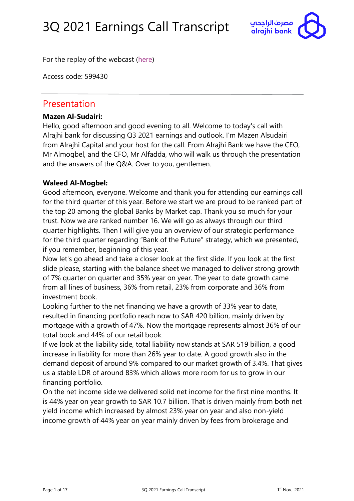

For the replay of the webcast [\(here\)](https://www.incommglobalevents.com/replay/6990/3q-2021-earnings-call-webcast/)

Access code: 599430

### Presentation

#### **Mazen Al-Sudairi:**

Hello, good afternoon and good evening to all. Welcome to today's call with Alrajhi bank for discussing Q3 2021 earnings and outlook. I'm Mazen Alsudairi from Alrajhi Capital and your host for the call. From Alrajhi Bank we have the CEO, Mr Almogbel, and the CFO, Mr Alfadda, who will walk us through the presentation and the answers of the Q&A. Over to you, gentlemen.

### **Waleed Al-Mogbel:**

Good afternoon, everyone. Welcome and thank you for attending our earnings call for the third quarter of this year. Before we start we are proud to be ranked part of the top 20 among the global Banks by Market cap. Thank you so much for your trust. Now we are ranked number 16. We will go as always through our third quarter highlights. Then I will give you an overview of our strategic performance for the third quarter regarding "Bank of the Future" strategy, which we presented, if you remember, beginning of this year.

Now let's go ahead and take a closer look at the first slide. If you look at the first slide please, starting with the balance sheet we managed to deliver strong growth of 7% quarter on quarter and 35% year on year. The year to date growth came from all lines of business, 36% from retail, 23% from corporate and 36% from investment book.

Looking further to the net financing we have a growth of 33% year to date, resulted in financing portfolio reach now to SAR 420 billion, mainly driven by mortgage with a growth of 47%. Now the mortgage represents almost 36% of our total book and 44% of our retail book.

If we look at the liability side, total liability now stands at SAR 519 billion, a good increase in liability for more than 26% year to date. A good growth also in the demand deposit of around 9% compared to our market growth of 3.4%. That gives us a stable LDR of around 83% which allows more room for us to grow in our financing portfolio.

On the net income side we delivered solid net income for the first nine months. It is 44% year on year growth to SAR 10.7 billion. That is driven mainly from both net yield income which increased by almost 23% year on year and also non-yield income growth of 44% year on year mainly driven by fees from brokerage and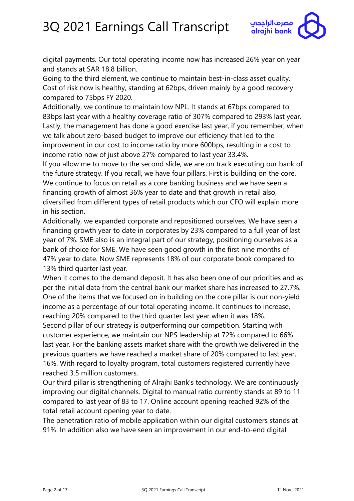

digital payments. Our total operating income now has increased 26% year on year and stands at SAR 18.8 billion.

Going to the third element, we continue to maintain best-in-class asset quality. Cost of risk now is healthy, standing at 62bps, driven mainly by a good recovery compared to 75bps FY 2020.

Additionally, we continue to maintain low NPL. It stands at 67bps compared to 83bps last year with a healthy coverage ratio of 307% compared to 293% last year. Lastly, the management has done a good exercise last year, if you remember, when we talk about zero-based budget to improve our efficiency that led to the improvement in our cost to income ratio by more 600bps, resulting in a cost to income ratio now of just above 27% compared to last year 33.4%.

If you allow me to move to the second slide, we are on track executing our bank of the future strategy. If you recall, we have four pillars. First is building on the core. We continue to focus on retail as a core banking business and we have seen a financing growth of almost 36% year to date and that growth in retail also, diversified from different types of retail products which our CFO will explain more in his section.

Additionally, we expanded corporate and repositioned ourselves. We have seen a financing growth year to date in corporates by 23% compared to a full year of last year of 7%. SME also is an integral part of our strategy, positioning ourselves as a bank of choice for SME. We have seen good growth in the first nine months of 47% year to date. Now SME represents 18% of our corporate book compared to 13% third quarter last year.

When it comes to the demand deposit. It has also been one of our priorities and as per the initial data from the central bank our market share has increased to 27.7%. One of the items that we focused on in building on the core pillar is our non-yield income as a percentage of our total operating income. It continues to increase, reaching 20% compared to the third quarter last year when it was 18%.

Second pillar of our strategy is outperforming our competition. Starting with customer experience, we maintain our NPS leadership at 72% compared to 66% last year. For the banking assets market share with the growth we delivered in the previous quarters we have reached a market share of 20% compared to last year, 16%. With regard to loyalty program, total customers registered currently have reached 3.5 million customers.

Our third pillar is strengthening of Alrajhi Bank's technology. We are continuously improving our digital channels. Digital to manual ratio currently stands at 89 to 11 compared to last year of 83 to 17. Online account opening reached 92% of the total retail account opening year to date.

The penetration ratio of mobile application within our digital customers stands at 91%. In addition also we have seen an improvement in our end-to-end digital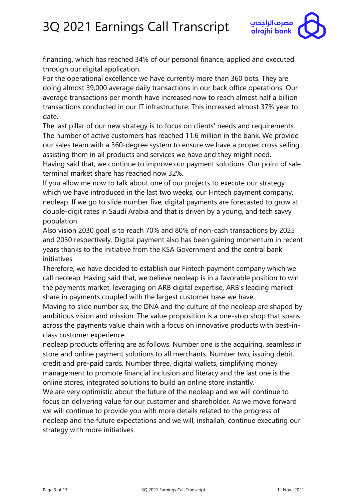

financing, which has reached 34% of our personal finance, applied and executed through our digital application.

For the operational excellence we have currently more than 360 bots. They are doing almost 39,000 average daily transactions in our back office operations. Our average transactions per month have increased now to reach almost half a billion transactions conducted in our IT infrastructure. This increased almost 37% year to date.

The last pillar of our new strategy is to focus on clients' needs and requirements. The number of active customers has reached 11.6 million in the bank. We provide our sales team with a 360-degree system to ensure we have a proper cross selling assisting them in all products and services we have and they might need.

Having said that, we continue to improve our payment solutions. Our point of sale terminal market share has reached now 32%.

If you allow me now to talk about one of our projects to execute our strategy which we have introduced in the last two weeks, our Fintech payment company, neoleap. If we go to slide number five, digital payments are forecasted to grow at double-digit rates in Saudi Arabia and that is driven by a young, and tech savvy population.

Also vision 2030 goal is to reach 70% and 80% of non-cash transactions by 2025 and 2030 respectively. Digital payment also has been gaining momentum in recent years thanks to the initiative from the KSA Government and the central bank initiatives.

Therefore, we have decided to establish our Fintech payment company which we call neoleap. Having said that, we believe neoleap is in a favorable position to win the payments market, leveraging on ARB digital expertise, ARB's leading market share in payments coupled with the largest customer base we have.

Moving to slide number six, the DNA and the culture of the neoleap are shaped by ambitious vision and mission. The value proposition is a one-stop shop that spans across the payments value chain with a focus on innovative products with best-inclass customer experience.

neoleap products offering are as follows. Number one is the acquiring, seamless in store and online payment solutions to all merchants. Number two, issuing debit, credit and pre-paid cards. Number three, digital wallets, simplifying money management to promote financial inclusion and literacy and the last one is the online stores, integrated solutions to build an online store instantly.

We are very optimistic about the future of the neoleap and we will continue to focus on delivering value for our customer and shareholder. As we move forward we will continue to provide you with more details related to the progress of neoleap and the future expectations and we will, inshallah, continue executing our strategy with more initiatives.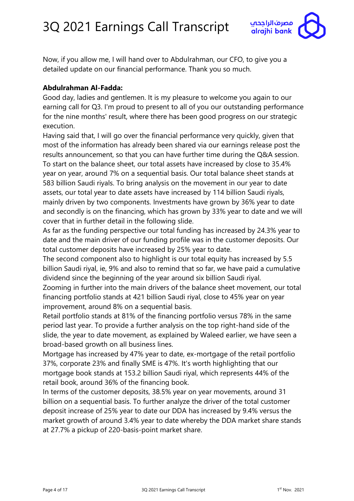

Now, if you allow me, I will hand over to Abdulrahman, our CFO, to give you a detailed update on our financial performance. Thank you so much.

### **Abdulrahman Al-Fadda:**

Good day, ladies and gentlemen. It is my pleasure to welcome you again to our earning call for Q3. I'm proud to present to all of you our outstanding performance for the nine months' result, where there has been good progress on our strategic execution.

Having said that, I will go over the financial performance very quickly, given that most of the information has already been shared via our earnings release post the results announcement, so that you can have further time during the Q&A session. To start on the balance sheet, our total assets have increased by close to 35.4% year on year, around 7% on a sequential basis. Our total balance sheet stands at 583 billion Saudi riyals. To bring analysis on the movement in our year to date assets, our total year to date assets have increased by 114 billion Saudi riyals, mainly driven by two components. Investments have grown by 36% year to date and secondly is on the financing, which has grown by 33% year to date and we will cover that in further detail in the following slide.

As far as the funding perspective our total funding has increased by 24.3% year to date and the main driver of our funding profile was in the customer deposits. Our total customer deposits have increased by 25% year to date.

The second component also to highlight is our total equity has increased by 5.5 billion Saudi riyal, ie, 9% and also to remind that so far, we have paid a cumulative dividend since the beginning of the year around six billion Saudi riyal.

Zooming in further into the main drivers of the balance sheet movement, our total financing portfolio stands at 421 billion Saudi riyal, close to 45% year on year improvement, around 8% on a sequential basis.

Retail portfolio stands at 81% of the financing portfolio versus 78% in the same period last year. To provide a further analysis on the top right-hand side of the slide, the year to date movement, as explained by Waleed earlier, we have seen a broad-based growth on all business lines.

Mortgage has increased by 47% year to date, ex-mortgage of the retail portfolio 37%, corporate 23% and finally SME is 47%. It's worth highlighting that our mortgage book stands at 153.2 billion Saudi riyal, which represents 44% of the retail book, around 36% of the financing book.

In terms of the customer deposits, 38.5% year on year movements, around 31 billion on a sequential basis. To further analyze the driver of the total customer deposit increase of 25% year to date our DDA has increased by 9.4% versus the market growth of around 3.4% year to date whereby the DDA market share stands at 27.7% a pickup of 220-basis-point market share.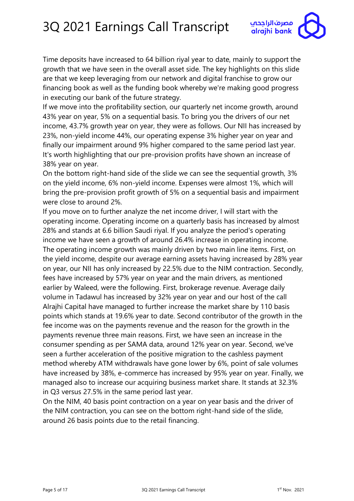

Time deposits have increased to 64 billion riyal year to date, mainly to support the growth that we have seen in the overall asset side. The key highlights on this slide are that we keep leveraging from our network and digital franchise to grow our financing book as well as the funding book whereby we're making good progress in executing our bank of the future strategy.

If we move into the profitability section, our quarterly net income growth, around 43% year on year, 5% on a sequential basis. To bring you the drivers of our net income, 43.7% growth year on year, they were as follows. Our NII has increased by 23%, non-yield income 44%, our operating expense 3% higher year on year and finally our impairment around 9% higher compared to the same period last year. It's worth highlighting that our pre-provision profits have shown an increase of 38% year on year.

On the bottom right-hand side of the slide we can see the sequential growth, 3% on the yield income, 6% non-yield income. Expenses were almost 1%, which will bring the pre-provision profit growth of 5% on a sequential basis and impairment were close to around 2%.

If you move on to further analyze the net income driver, I will start with the operating income. Operating income on a quarterly basis has increased by almost 28% and stands at 6.6 billion Saudi riyal. If you analyze the period's operating income we have seen a growth of around 26.4% increase in operating income. The operating income growth was mainly driven by two main line items. First, on the yield income, despite our average earning assets having increased by 28% year on year, our NII has only increased by 22.5% due to the NIM contraction. Secondly, fees have increased by 57% year on year and the main drivers, as mentioned earlier by Waleed, were the following. First, brokerage revenue. Average daily volume in Tadawul has increased by 32% year on year and our host of the call Alrajhi Capital have managed to further increase the market share by 110 basis points which stands at 19.6% year to date. Second contributor of the growth in the fee income was on the payments revenue and the reason for the growth in the payments revenue three main reasons. First, we have seen an increase in the consumer spending as per SAMA data, around 12% year on year. Second, we've seen a further acceleration of the positive migration to the cashless payment method whereby ATM withdrawals have gone lower by 6%, point of sale volumes have increased by 38%, e-commerce has increased by 95% year on year. Finally, we managed also to increase our acquiring business market share. It stands at 32.3% in Q3 versus 27.5% in the same period last year.

On the NIM, 40 basis point contraction on a year on year basis and the driver of the NIM contraction, you can see on the bottom right-hand side of the slide, around 26 basis points due to the retail financing.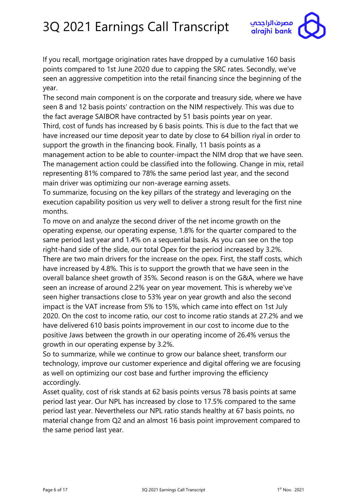

If you recall, mortgage origination rates have dropped by a cumulative 160 basis points compared to 1st June 2020 due to capping the SRC rates. Secondly, we've seen an aggressive competition into the retail financing since the beginning of the year.

The second main component is on the corporate and treasury side, where we have seen 8 and 12 basis points' contraction on the NIM respectively. This was due to the fact average SAIBOR have contracted by 51 basis points year on year. Third, cost of funds has increased by 6 basis points. This is due to the fact that we have increased our time deposit year to date by close to 64 billion riyal in order to support the growth in the financing book. Finally, 11 basis points as a management action to be able to counter-impact the NIM drop that we have seen. The management action could be classified into the following. Change in mix, retail representing 81% compared to 78% the same period last year, and the second main driver was optimizing our non-average earning assets.

To summarize, focusing on the key pillars of the strategy and leveraging on the execution capability position us very well to deliver a strong result for the first nine months.

To move on and analyze the second driver of the net income growth on the operating expense, our operating expense, 1.8% for the quarter compared to the same period last year and 1.4% on a sequential basis. As you can see on the top right-hand side of the slide, our total Opex for the period increased by 3.2%. There are two main drivers for the increase on the opex. First, the staff costs, which have increased by 4.8%. This is to support the growth that we have seen in the overall balance sheet growth of 35%. Second reason is on the G&A, where we have seen an increase of around 2.2% year on year movement. This is whereby we've seen higher transactions close to 53% year on year growth and also the second impact is the VAT increase from 5% to 15%, which came into effect on 1st July 2020. On the cost to income ratio, our cost to income ratio stands at 27.2% and we have delivered 610 basis points improvement in our cost to income due to the positive Jaws between the growth in our operating income of 26.4% versus the growth in our operating expense by 3.2%.

So to summarize, while we continue to grow our balance sheet, transform our technology, improve our customer experience and digital offering we are focusing as well on optimizing our cost base and further improving the efficiency accordingly.

Asset quality, cost of risk stands at 62 basis points versus 78 basis points at same period last year. Our NPL has increased by close to 17.5% compared to the same period last year. Nevertheless our NPL ratio stands healthy at 67 basis points, no material change from Q2 and an almost 16 basis point improvement compared to the same period last year.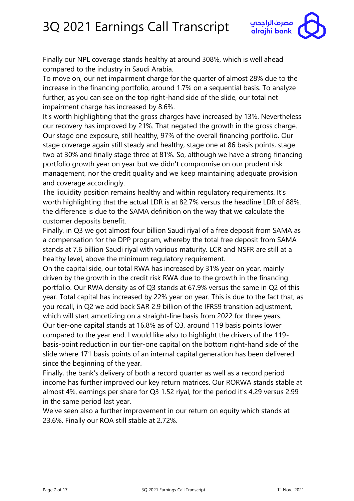

Finally our NPL coverage stands healthy at around 308%, which is well ahead compared to the industry in Saudi Arabia.

To move on, our net impairment charge for the quarter of almost 28% due to the increase in the financing portfolio, around 1.7% on a sequential basis. To analyze further, as you can see on the top right-hand side of the slide, our total net impairment charge has increased by 8.6%.

It's worth highlighting that the gross charges have increased by 13%. Nevertheless our recovery has improved by 21%. That negated the growth in the gross charge. Our stage one exposure, still healthy, 97% of the overall financing portfolio. Our stage coverage again still steady and healthy, stage one at 86 basis points, stage two at 30% and finally stage three at 81%. So, although we have a strong financing portfolio growth year on year but we didn't compromise on our prudent risk management, nor the credit quality and we keep maintaining adequate provision and coverage accordingly.

The liquidity position remains healthy and within regulatory requirements. It's worth highlighting that the actual LDR is at 82.7% versus the headline LDR of 88%. the difference is due to the SAMA definition on the way that we calculate the customer deposits benefit.

Finally, in Q3 we got almost four billion Saudi riyal of a free deposit from SAMA as a compensation for the DPP program, whereby the total free deposit from SAMA stands at 7.6 billion Saudi riyal with various maturity. LCR and NSFR are still at a healthy level, above the minimum regulatory requirement.

On the capital side, our total RWA has increased by 31% year on year, mainly driven by the growth in the credit risk RWA due to the growth in the financing portfolio. Our RWA density as of Q3 stands at 67.9% versus the same in Q2 of this year. Total capital has increased by 22% year on year. This is due to the fact that, as you recall, in Q2 we add back SAR 2.9 billion of the IFRS9 transition adjustment, which will start amortizing on a straight-line basis from 2022 for three years. Our tier-one capital stands at 16.8% as of Q3, around 119 basis points lower compared to the year end. I would like also to highlight the drivers of the 119 basis-point reduction in our tier-one capital on the bottom right-hand side of the slide where 171 basis points of an internal capital generation has been delivered since the beginning of the year.

Finally, the bank's delivery of both a record quarter as well as a record period income has further improved our key return matrices. Our RORWA stands stable at almost 4%, earnings per share for Q3 1.52 riyal, for the period it's 4.29 versus 2.99 in the same period last year.

We've seen also a further improvement in our return on equity which stands at 23.6%. Finally our ROA still stable at 2.72%.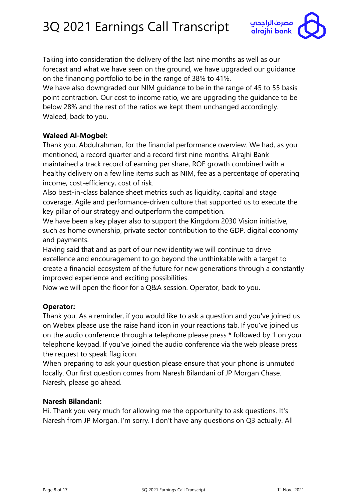

Taking into consideration the delivery of the last nine months as well as our forecast and what we have seen on the ground, we have upgraded our guidance on the financing portfolio to be in the range of 38% to 41%.

We have also downgraded our NIM guidance to be in the range of 45 to 55 basis point contraction. Our cost to income ratio, we are upgrading the guidance to be below 28% and the rest of the ratios we kept them unchanged accordingly. Waleed, back to you.

### **Waleed Al-Mogbel:**

Thank you, Abdulrahman, for the financial performance overview. We had, as you mentioned, a record quarter and a record first nine months. Alrajhi Bank maintained a track record of earning per share, ROE growth combined with a healthy delivery on a few line items such as NIM, fee as a percentage of operating income, cost-efficiency, cost of risk.

Also best-in-class balance sheet metrics such as liquidity, capital and stage coverage. Agile and performance-driven culture that supported us to execute the key pillar of our strategy and outperform the competition.

We have been a key player also to support the Kingdom 2030 Vision initiative, such as home ownership, private sector contribution to the GDP, digital economy and payments.

Having said that and as part of our new identity we will continue to drive excellence and encouragement to go beyond the unthinkable with a target to create a financial ecosystem of the future for new generations through a constantly improved experience and exciting possibilities.

Now we will open the floor for a Q&A session. Operator, back to you.

### **Operator:**

Thank you. As a reminder, if you would like to ask a question and you've joined us on Webex please use the raise hand icon in your reactions tab. If you've joined us on the audio conference through a telephone please press \* followed by 1 on your telephone keypad. If you've joined the audio conference via the web please press the request to speak flag icon.

When preparing to ask your question please ensure that your phone is unmuted locally. Our first question comes from Naresh Bilandani of JP Morgan Chase. Naresh, please go ahead.

### **Naresh Bilandani:**

Hi. Thank you very much for allowing me the opportunity to ask questions. It's Naresh from JP Morgan. I'm sorry. I don't have any questions on Q3 actually. All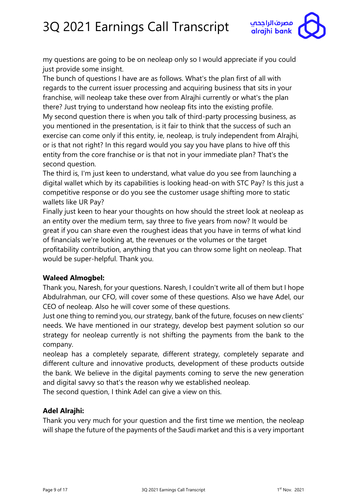

my questions are going to be on neoleap only so I would appreciate if you could just provide some insight.

The bunch of questions I have are as follows. What's the plan first of all with regards to the current issuer processing and acquiring business that sits in your franchise, will neoleap take these over from Alrajhi currently or what's the plan there? Just trying to understand how neoleap fits into the existing profile. My second question there is when you talk of third-party processing business, as you mentioned in the presentation, is it fair to think that the success of such an exercise can come only if this entity, ie, neoleap, is truly independent from Alrajhi, or is that not right? In this regard would you say you have plans to hive off this entity from the core franchise or is that not in your immediate plan? That's the second question.

The third is, I'm just keen to understand, what value do you see from launching a digital wallet which by its capabilities is looking head-on with STC Pay? Is this just a competitive response or do you see the customer usage shifting more to static wallets like UR Pay?

Finally just keen to hear your thoughts on how should the street look at neoleap as an entity over the medium term, say three to five years from now? It would be great if you can share even the roughest ideas that you have in terms of what kind of financials we're looking at, the revenues or the volumes or the target profitability contribution, anything that you can throw some light on neoleap. That would be super-helpful. Thank you.

### **Waleed Almogbel:**

Thank you, Naresh, for your questions. Naresh, I couldn't write all of them but I hope Abdulrahman, our CFO, will cover some of these questions. Also we have Adel, our CEO of neoleap. Also he will cover some of these questions.

Just one thing to remind you, our strategy, bank of the future, focuses on new clients' needs. We have mentioned in our strategy, develop best payment solution so our strategy for neoleap currently is not shifting the payments from the bank to the company.

neoleap has a completely separate, different strategy, completely separate and different culture and innovative products, development of these products outside the bank. We believe in the digital payments coming to serve the new generation and digital savvy so that's the reason why we established neoleap.

The second question, I think Adel can give a view on this.

### **Adel Alrajhi:**

Thank you very much for your question and the first time we mention, the neoleap will shape the future of the payments of the Saudi market and this is a very important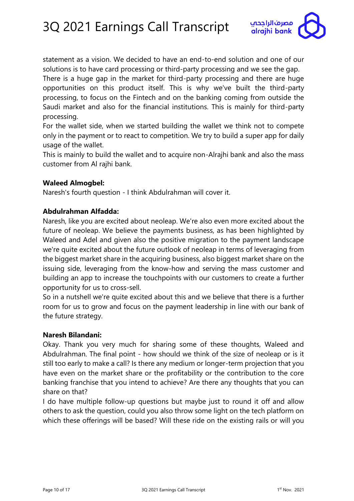

statement as a vision. We decided to have an end-to-end solution and one of our solutions is to have card processing or third-party processing and we see the gap.

There is a huge gap in the market for third-party processing and there are huge opportunities on this product itself. This is why we've built the third-party processing, to focus on the Fintech and on the banking coming from outside the Saudi market and also for the financial institutions. This is mainly for third-party processing.

For the wallet side, when we started building the wallet we think not to compete only in the payment or to react to competition. We try to build a super app for daily usage of the wallet.

This is mainly to build the wallet and to acquire non-Alrajhi bank and also the mass customer from Al rajhi bank.

#### **Waleed Almogbel:**

Naresh's fourth question - I think Abdulrahman will cover it.

### **Abdulrahman Alfadda:**

Naresh, like you are excited about neoleap. We're also even more excited about the future of neoleap. We believe the payments business, as has been highlighted by Waleed and Adel and given also the positive migration to the payment landscape we're quite excited about the future outlook of neoleap in terms of leveraging from the biggest market share in the acquiring business, also biggest market share on the issuing side, leveraging from the know-how and serving the mass customer and building an app to increase the touchpoints with our customers to create a further opportunity for us to cross-sell.

So in a nutshell we're quite excited about this and we believe that there is a further room for us to grow and focus on the payment leadership in line with our bank of the future strategy.

#### **Naresh Bilandani:**

Okay. Thank you very much for sharing some of these thoughts, Waleed and Abdulrahman. The final point - how should we think of the size of neoleap or is it still too early to make a call? Is there any medium or longer-term projection that you have even on the market share or the profitability or the contribution to the core banking franchise that you intend to achieve? Are there any thoughts that you can share on that?

I do have multiple follow-up questions but maybe just to round it off and allow others to ask the question, could you also throw some light on the tech platform on which these offerings will be based? Will these ride on the existing rails or will you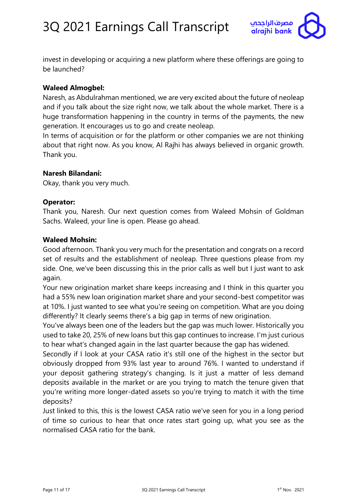

invest in developing or acquiring a new platform where these offerings are going to be launched?

### **Waleed Almogbel:**

Naresh, as Abdulrahman mentioned, we are very excited about the future of neoleap and if you talk about the size right now, we talk about the whole market. There is a huge transformation happening in the country in terms of the payments, the new generation. It encourages us to go and create neoleap.

In terms of acquisition or for the platform or other companies we are not thinking about that right now. As you know, Al Rajhi has always believed in organic growth. Thank you.

### **Naresh Bilandani:**

Okay, thank you very much.

### **Operator:**

Thank you, Naresh. Our next question comes from Waleed Mohsin of Goldman Sachs. Waleed, your line is open. Please go ahead.

#### **Waleed Mohsin:**

Good afternoon. Thank you very much for the presentation and congrats on a record set of results and the establishment of neoleap. Three questions please from my side. One, we've been discussing this in the prior calls as well but I just want to ask again.

Your new origination market share keeps increasing and I think in this quarter you had a 55% new loan origination market share and your second-best competitor was at 10%. I just wanted to see what you're seeing on competition. What are you doing differently? It clearly seems there's a big gap in terms of new origination.

You've always been one of the leaders but the gap was much lower. Historically you used to take 20, 25% of new loans but this gap continues to increase. I'm just curious to hear what's changed again in the last quarter because the gap has widened.

Secondly if I look at your CASA ratio it's still one of the highest in the sector but obviously dropped from 93% last year to around 76%. I wanted to understand if your deposit gathering strategy's changing. Is it just a matter of less demand deposits available in the market or are you trying to match the tenure given that you're writing more longer-dated assets so you're trying to match it with the time deposits?

Just linked to this, this is the lowest CASA ratio we've seen for you in a long period of time so curious to hear that once rates start going up, what you see as the normalised CASA ratio for the bank.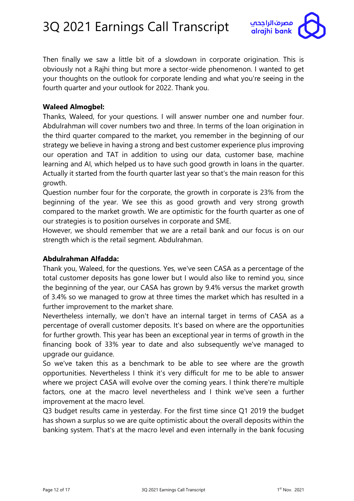

Then finally we saw a little bit of a slowdown in corporate origination. This is obviously not a Rajhi thing but more a sector-wide phenomenon. I wanted to get your thoughts on the outlook for corporate lending and what you're seeing in the fourth quarter and your outlook for 2022. Thank you.

### **Waleed Almogbel:**

Thanks, Waleed, for your questions. I will answer number one and number four. Abdulrahman will cover numbers two and three. In terms of the loan origination in the third quarter compared to the market, you remember in the beginning of our strategy we believe in having a strong and best customer experience plus improving our operation and TAT in addition to using our data, customer base, machine learning and AI, which helped us to have such good growth in loans in the quarter. Actually it started from the fourth quarter last year so that's the main reason for this growth.

Question number four for the corporate, the growth in corporate is 23% from the beginning of the year. We see this as good growth and very strong growth compared to the market growth. We are optimistic for the fourth quarter as one of our strategies is to position ourselves in corporate and SME.

However, we should remember that we are a retail bank and our focus is on our strength which is the retail segment. Abdulrahman.

#### **Abdulrahman Alfadda:**

Thank you, Waleed, for the questions. Yes, we've seen CASA as a percentage of the total customer deposits has gone lower but I would also like to remind you, since the beginning of the year, our CASA has grown by 9.4% versus the market growth of 3.4% so we managed to grow at three times the market which has resulted in a further improvement to the market share.

Nevertheless internally, we don't have an internal target in terms of CASA as a percentage of overall customer deposits. It's based on where are the opportunities for further growth. This year has been an exceptional year in terms of growth in the financing book of 33% year to date and also subsequently we've managed to upgrade our guidance.

So we've taken this as a benchmark to be able to see where are the growth opportunities. Nevertheless I think it's very difficult for me to be able to answer where we project CASA will evolve over the coming years. I think there're multiple factors, one at the macro level nevertheless and I think we've seen a further improvement at the macro level.

Q3 budget results came in yesterday. For the first time since Q1 2019 the budget has shown a surplus so we are quite optimistic about the overall deposits within the banking system. That's at the macro level and even internally in the bank focusing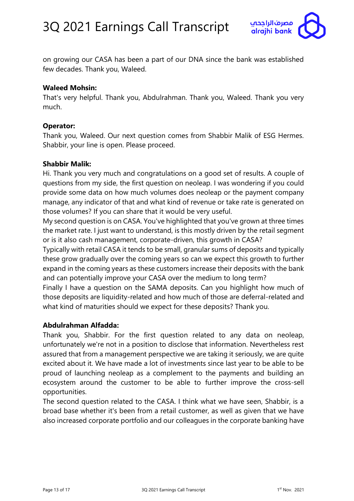

on growing our CASA has been a part of our DNA since the bank was established few decades. Thank you, Waleed.

### **Waleed Mohsin:**

That's very helpful. Thank you, Abdulrahman. Thank you, Waleed. Thank you very much.

#### **Operator:**

Thank you, Waleed. Our next question comes from Shabbir Malik of ESG Hermes. Shabbir, your line is open. Please proceed.

### **Shabbir Malik:**

Hi. Thank you very much and congratulations on a good set of results. A couple of questions from my side, the first question on neoleap. I was wondering if you could provide some data on how much volumes does neoleap or the payment company manage, any indicator of that and what kind of revenue or take rate is generated on those volumes? If you can share that it would be very useful.

My second question is on CASA. You've highlighted that you've grown at three times the market rate. I just want to understand, is this mostly driven by the retail segment or is it also cash management, corporate-driven, this growth in CASA?

Typically with retail CASA it tends to be small, granular sums of deposits and typically these grow gradually over the coming years so can we expect this growth to further expand in the coming years as these customers increase their deposits with the bank and can potentially improve your CASA over the medium to long term?

Finally I have a question on the SAMA deposits. Can you highlight how much of those deposits are liquidity-related and how much of those are deferral-related and what kind of maturities should we expect for these deposits? Thank you.

#### **Abdulrahman Alfadda:**

Thank you, Shabbir. For the first question related to any data on neoleap, unfortunately we're not in a position to disclose that information. Nevertheless rest assured that from a management perspective we are taking it seriously, we are quite excited about it. We have made a lot of investments since last year to be able to be proud of launching neoleap as a complement to the payments and building an ecosystem around the customer to be able to further improve the cross-sell opportunities.

The second question related to the CASA. I think what we have seen, Shabbir, is a broad base whether it's been from a retail customer, as well as given that we have also increased corporate portfolio and our colleagues in the corporate banking have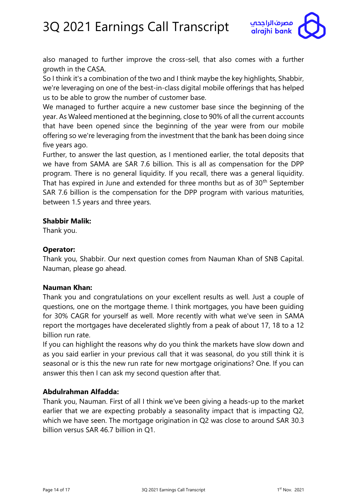

also managed to further improve the cross-sell, that also comes with a further growth in the CASA.

So I think it's a combination of the two and I think maybe the key highlights, Shabbir, we're leveraging on one of the best-in-class digital mobile offerings that has helped us to be able to grow the number of customer base.

We managed to further acquire a new customer base since the beginning of the year. As Waleed mentioned at the beginning, close to 90% of all the current accounts that have been opened since the beginning of the year were from our mobile offering so we're leveraging from the investment that the bank has been doing since five years ago.

Further, to answer the last question, as I mentioned earlier, the total deposits that we have from SAMA are SAR 7.6 billion. This is all as compensation for the DPP program. There is no general liquidity. If you recall, there was a general liquidity. That has expired in June and extended for three months but as of 30<sup>th</sup> September SAR 7.6 billion is the compensation for the DPP program with various maturities, between 1.5 years and three years.

### **Shabbir Malik:**

Thank you.

### **Operator:**

Thank you, Shabbir. Our next question comes from Nauman Khan of SNB Capital. Nauman, please go ahead.

### **Nauman Khan:**

Thank you and congratulations on your excellent results as well. Just a couple of questions, one on the mortgage theme. I think mortgages, you have been guiding for 30% CAGR for yourself as well. More recently with what we've seen in SAMA report the mortgages have decelerated slightly from a peak of about 17, 18 to a 12 billion run rate.

If you can highlight the reasons why do you think the markets have slow down and as you said earlier in your previous call that it was seasonal, do you still think it is seasonal or is this the new run rate for new mortgage originations? One. If you can answer this then I can ask my second question after that.

### **Abdulrahman Alfadda:**

Thank you, Nauman. First of all I think we've been giving a heads-up to the market earlier that we are expecting probably a seasonality impact that is impacting Q2, which we have seen. The mortgage origination in Q2 was close to around SAR 30.3 billion versus SAR 46.7 billion in Q1.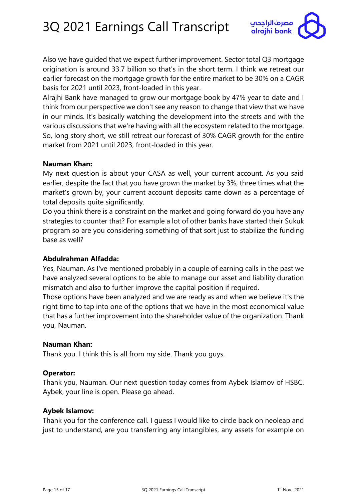

Also we have guided that we expect further improvement. Sector total Q3 mortgage origination is around 33.7 billion so that's in the short term. I think we retreat our earlier forecast on the mortgage growth for the entire market to be 30% on a CAGR basis for 2021 until 2023, front-loaded in this year.

Alrajhi Bank have managed to grow our mortgage book by 47% year to date and I think from our perspective we don't see any reason to change that view that we have in our minds. It's basically watching the development into the streets and with the various discussions that we're having with all the ecosystem related to the mortgage. So, long story short, we still retreat our forecast of 30% CAGR growth for the entire market from 2021 until 2023, front-loaded in this year.

#### **Nauman Khan:**

My next question is about your CASA as well, your current account. As you said earlier, despite the fact that you have grown the market by 3%, three times what the market's grown by, your current account deposits came down as a percentage of total deposits quite significantly.

Do you think there is a constraint on the market and going forward do you have any strategies to counter that? For example a lot of other banks have started their Sukuk program so are you considering something of that sort just to stabilize the funding base as well?

#### **Abdulrahman Alfadda:**

Yes, Nauman. As I've mentioned probably in a couple of earning calls in the past we have analyzed several options to be able to manage our asset and liability duration mismatch and also to further improve the capital position if required.

Those options have been analyzed and we are ready as and when we believe it's the right time to tap into one of the options that we have in the most economical value that has a further improvement into the shareholder value of the organization. Thank you, Nauman.

#### **Nauman Khan:**

Thank you. I think this is all from my side. Thank you guys.

#### **Operator:**

Thank you, Nauman. Our next question today comes from Aybek Islamov of HSBC. Aybek, your line is open. Please go ahead.

#### **Aybek Islamov:**

Thank you for the conference call. I guess I would like to circle back on neoleap and just to understand, are you transferring any intangibles, any assets for example on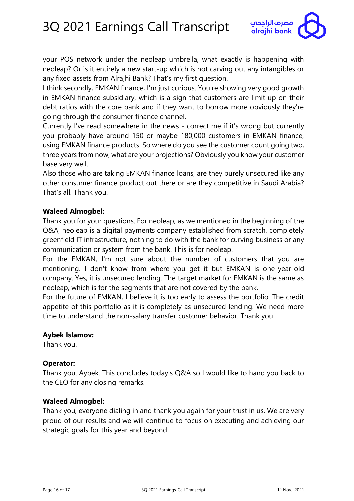

your POS network under the neoleap umbrella, what exactly is happening with neoleap? Or is it entirely a new start-up which is not carving out any intangibles or any fixed assets from Alrajhi Bank? That's my first question.

I think secondly, EMKAN finance, I'm just curious. You're showing very good growth in EMKAN finance subsidiary, which is a sign that customers are limit up on their debt ratios with the core bank and if they want to borrow more obviously they're going through the consumer finance channel.

Currently I've read somewhere in the news - correct me if it's wrong but currently you probably have around 150 or maybe 180,000 customers in EMKAN finance, using EMKAN finance products. So where do you see the customer count going two, three years from now, what are your projections? Obviously you know your customer base very well.

Also those who are taking EMKAN finance loans, are they purely unsecured like any other consumer finance product out there or are they competitive in Saudi Arabia? That's all. Thank you.

### **Waleed Almogbel:**

Thank you for your questions. For neoleap, as we mentioned in the beginning of the Q&A, neoleap is a digital payments company established from scratch, completely greenfield IT infrastructure, nothing to do with the bank for curving business or any communication or system from the bank. This is for neoleap.

For the EMKAN, I'm not sure about the number of customers that you are mentioning. I don't know from where you get it but EMKAN is one-year-old company. Yes, it is unsecured lending. The target market for EMKAN is the same as neoleap, which is for the segments that are not covered by the bank.

For the future of EMKAN, I believe it is too early to assess the portfolio. The credit appetite of this portfolio as it is completely as unsecured lending. We need more time to understand the non-salary transfer customer behavior. Thank you.

#### **Aybek Islamov:**

Thank you.

#### **Operator:**

Thank you. Aybek. This concludes today's Q&A so I would like to hand you back to the CEO for any closing remarks.

#### **Waleed Almogbel:**

Thank you, everyone dialing in and thank you again for your trust in us. We are very proud of our results and we will continue to focus on executing and achieving our strategic goals for this year and beyond.